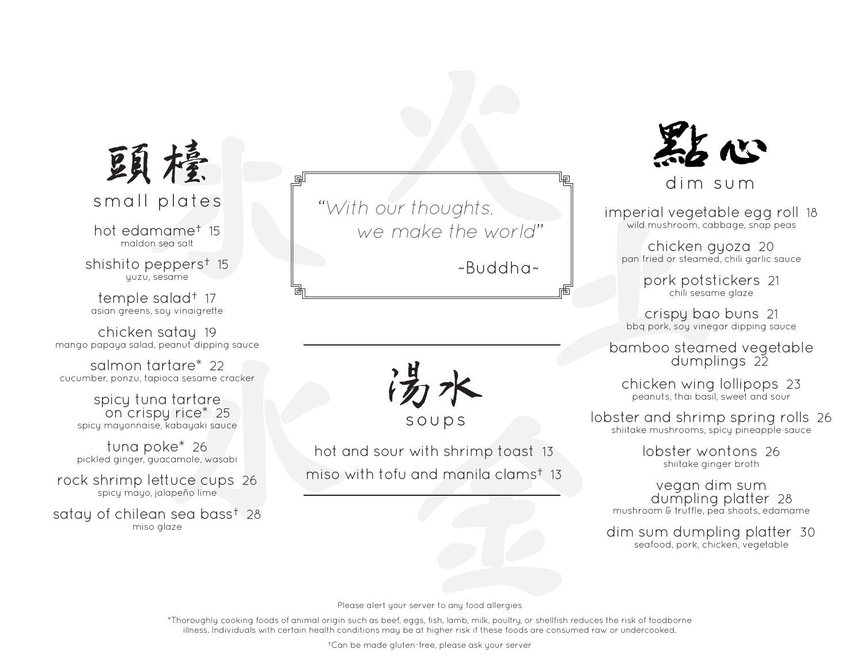

hot edamame† 15 maldon sea salt

shishito peppers† 15 yuzu, sesame

temple salad† 17 asian greens, soy vinaigrette

chicken satay 19 mango papaya salad, peanut dipping sauce

salmon tartare\* 22 cucumber, ponzu, tapioca sesame cracker

> spicy tuna tartare on crispy rice\* 25 spicy mayonnaise, kabayaki sauce

tuna poke\* 26 pickled ginger, guacamole, wasabi

rock shrimp lettuce cups 26 spicy mayo, jalapeño lime

satay of chilean sea bass† 28 miso glaze

small plates "*With our thoughts, we make the world*"

~Buddha~

soups

hot and sour with shrimp toast 13 miso with tofu and manila clams† 13



dim sum

imperial vegetable egg roll 18 wild mushroom, cabbage, snap peas

chicken gyoza 20 pan fried or steamed, chili garlic sauce

> pork potstickers 21 chili sesame glaze

crispy bao buns 21 bbq pork, soy vinegar dipping sauce

bamboo steamed vegetable dumplings 22

chicken wing lollipops 23 peanuts, thai basil, sweet and sour

lobster and shrimp spring rolls 26 shiitake mushrooms, spicy pineapple sauce

> lobster wontons 26 shiitake ginger broth

vegan dim sum dumpling platter 28 mushroom & truffle, pea shoots, edamame

dim sum dumpling platter 30 seafood, pork, chicken, vegetable

Please alert your server to any food allergies

\*Thoroughly cooking foods of animal origin such as beef, eggs, fish, lamb, milk, poultry, or shellfish reduces the risk of foodborne illness. Individuals with certain health conditions may be at higher risk if these foods are consumed raw or undercooked.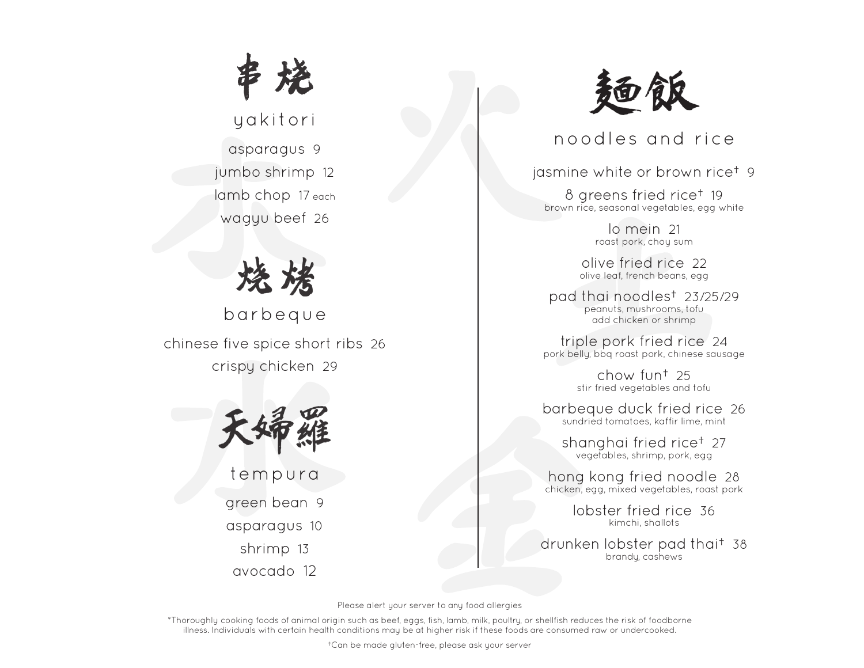

## yakitori

asparagus 9 jumbo shrimp 12 lamb chop 17 each wagyu beef 26



barbeque chinese five spice short ribs 26 crispy chicken 29



tempura

green bean 9

asparagus 10

shrimp 13

avocado 12



noodles and rice

jasmine white or brown rice† 9

8 greens fried rice† 19 brown rice, seasonal vegetables, egg white

> lo mein 21 roast pork, choy sum

olive fried rice 22 olive leaf, french beans, egg

pad thai noodles† 23/25/29 peanuts, mushrooms, tofu add chicken or shrimp

triple pork fried rice 24 pork belly, bbq roast pork, chinese sausage

> chow fun† 25 stir fried vegetables and tofu

barbeque duck fried rice 26 sundried tomatoes, kaffir lime, mint

shanghai fried rice† 27 vegetables, shrimp, pork, egg

hong kong fried noodle 28 chicken, egg, mixed vegetables, roast pork

> lobster fried rice 36 kimchi, shallots

drunken lobster pad thai† 38 brandy, cashews

Please alert your server to any food allergies

\*Thoroughly cooking foods of animal origin such as beef, eggs, fish, lamb, milk, poultry, or shellfish reduces the risk of foodborne illness. Individuals with certain health conditions may be at higher risk if these foods are consumed raw or undercooked.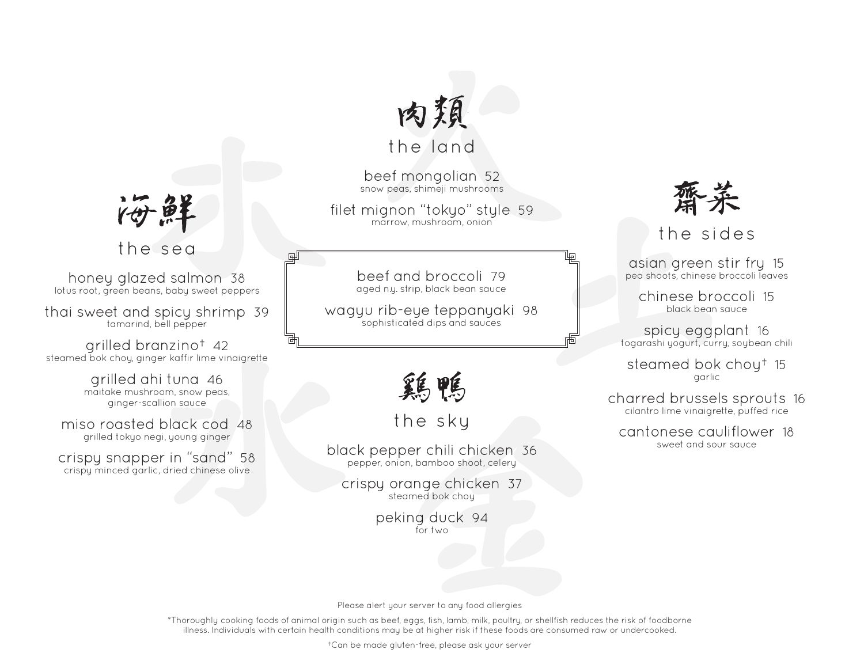

beef mongolian 52 snow peas, shimeji mushrooms

filet mignon "tokyo" style 59 marrow, mushroom, onion

> beef and broccoli 79 aged n.y. strip, black bean sauce

wagyu rib-eye teppanyaki 98 sophisticated dips and sauces

鶏鴨

the sky

black pepper chili chicken 36 pepper, onion, bamboo shoot, celery

crispy orange chicken 37 steamed bok choy

> peking duck 94 for two



the sides

asian green stir fry 15 pea shoots, chinese broccoli leaves

岫

chinese broccoli 15 black bean sauce

spicy eggplant 16 togarashi yogurt, curry, soybean chili

steamed bok choy† 15 garlic

charred brussels sprouts 16 cilantro lime vinaigrette, puffed rice

cantonese cauliflower 18 sweet and sour sauce

他

the sea

画

honey glazed salmon 38 lotus root, green beans, baby sweet peppers

thai sweet and spicy shrimp 39 tamarind, bell pepper

grilled branzino† 42 steamed bok choy, ginger kaffir lime vinaigrette

> grilled ahi tuna 46 maitake mushroom, snow peas, ginger-scallion sauce

miso roasted black cod 48 grilled tokyo negi, young ginger

crispy snapper in "sand" 58 crispy minced garlic, dried chinese olive

Please alert your server to any food allergies

\*Thoroughly cooking foods of animal origin such as beef, eggs, fish, lamb, milk, poultry, or shellfish reduces the risk of foodborne illness. Individuals with certain health conditions may be at higher risk if these foods are consumed raw or undercooked.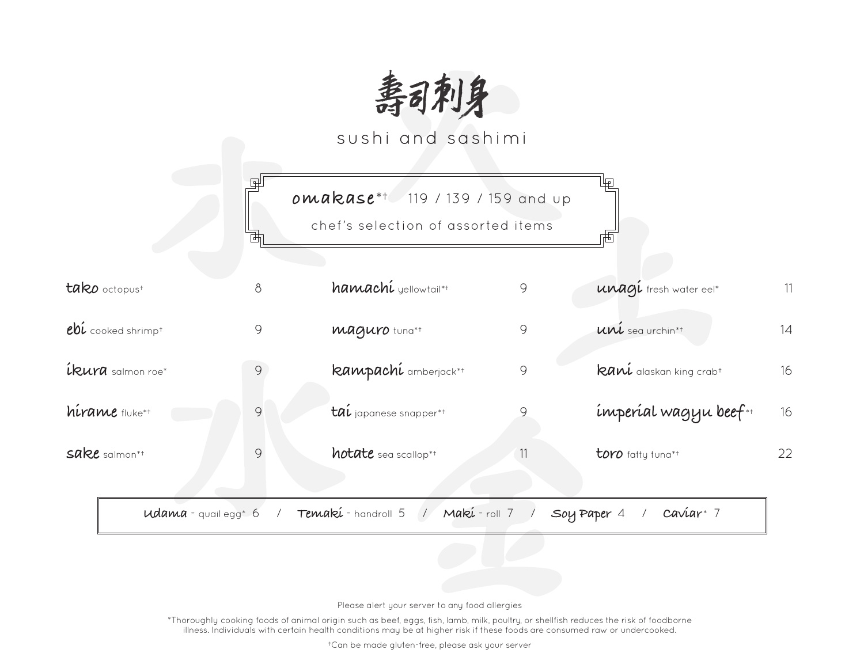

sushi and sashimi

|                                         |                          | <b>omakase</b> ** 119 / 139 / 159 and up |    |                                            |    |
|-----------------------------------------|--------------------------|------------------------------------------|----|--------------------------------------------|----|
|                                         |                          | chef's selection of assorted items       |    |                                            |    |
| tako octopust                           | $\delta$                 | hamachi yellowtail*+                     | 9  | unagí fresh water eel*                     | 11 |
| $e$ b $i$ cooked shrimp <sup>+</sup>    | 9                        | <b>Maguro</b> tung*t                     | 9  | uni sea urchin*†                           | 14 |
| <b>íkura</b> salmon roe*                | 9                        | kampachí amberjack*+                     | 9  | <b>Raní</b> alaskan king crab <sup>+</sup> | 16 |
| hírame fluke*t                          | 9                        | tal japanese snapper*+                   | 9  | imperial wagyu beef*+                      | 16 |
| $sake$ salmon*t                         | $\mathcal{G}$            | hotate sea scallop*+                     | 11 | toro fatty tuna*+                          | 22 |
| <b>udama</b> - quail egg <sup>*</sup> 6 | $\overline{\phantom{a}}$ | Temakí-handroll 5 / Makí-roll 7 /        |    | $caviar^*$ 7<br>Soy Paper 4                |    |

Please alert your server to any food allergies

\*Thoroughly cooking foods of animal origin such as beef, eggs, fish, lamb, milk, poultry, or shellfish reduces the risk of foodborne illness. Individuals with certain health conditions may be at higher risk if these foods are consumed raw or undercooked.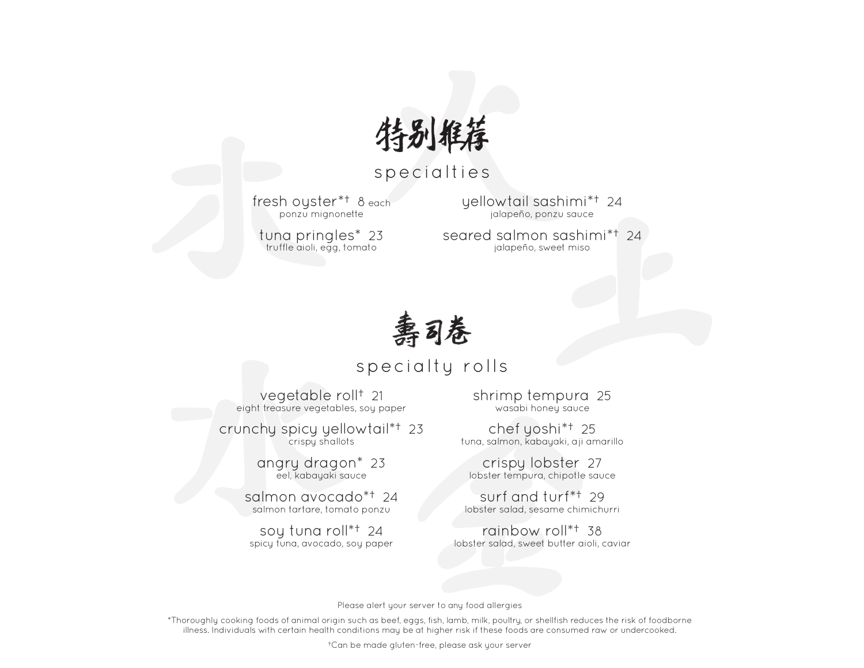

## specialties

fresh oyster\*† 8 each ponzu mignonette

tuna pringles\* 23 truffle aioli, egg, tomato

yellowtail sashimi\*† 24 jalapeño, ponzu sauce

seared salmon sashimi\*† 24 jalapeño, sweet miso



## specialty rolls

vegetable roll† 21 eight treasure vegetables, soy paper

crunchy spicy yellowtail\*† 23 crispy shallots

> angry dragon\* 23 eel, kabayaki sauce

salmon avocado\*† 24 salmon tartare, tomato ponzu

soy tuna roll\*† 24 spicy tuna, avocado, soy paper shrimp tempura 25 wasabi honey sauce

chef yoshi\*† 25 tuna, salmon, kabayaki, aji amarillo

crispy lobster 27 lobster tempura, chipotle sauce

surf and turf\*† 29 lobster salad, sesame chimichurri

rainbow roll\*† 38 lobster salad, sweet butter aioli, caviar

Please alert your server to any food allergies

\*Thoroughly cooking foods of animal origin such as beef, eggs, fish, lamb, milk, poultry, or shellfish reduces the risk of foodborne illness. Individuals with certain health conditions may be at higher risk if these foods are consumed raw or undercooked.